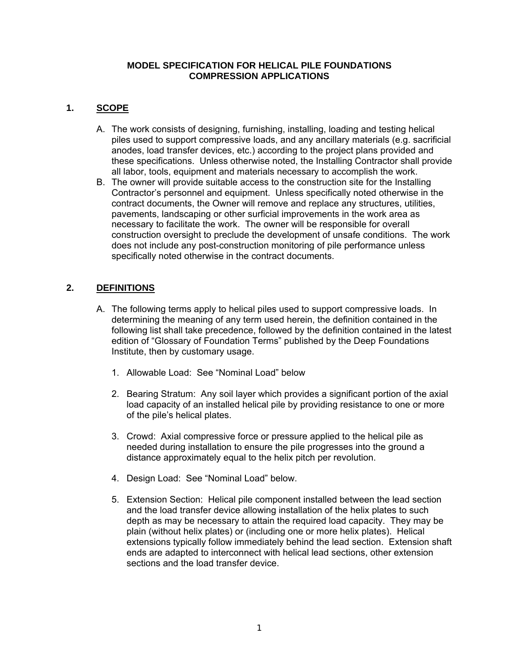#### **MODEL SPECIFICATION FOR HELICAL PILE FOUNDATIONS COMPRESSION APPLICATIONS**

## **1. SCOPE**

- A. The work consists of designing, furnishing, installing, loading and testing helical piles used to support compressive loads, and any ancillary materials (e.g. sacrificial anodes, load transfer devices, etc.) according to the project plans provided and these specifications. Unless otherwise noted, the Installing Contractor shall provide all labor, tools, equipment and materials necessary to accomplish the work.
- B. The owner will provide suitable access to the construction site for the Installing Contractor's personnel and equipment. Unless specifically noted otherwise in the contract documents, the Owner will remove and replace any structures, utilities, pavements, landscaping or other surficial improvements in the work area as necessary to facilitate the work. The owner will be responsible for overall construction oversight to preclude the development of unsafe conditions. The work does not include any post-construction monitoring of pile performance unless specifically noted otherwise in the contract documents.

# **2. DEFINITIONS**

- A. The following terms apply to helical piles used to support compressive loads. In determining the meaning of any term used herein, the definition contained in the following list shall take precedence, followed by the definition contained in the latest edition of "Glossary of Foundation Terms" published by the Deep Foundations Institute, then by customary usage.
	- 1. Allowable Load: See "Nominal Load" below
	- 2. Bearing Stratum: Any soil layer which provides a significant portion of the axial load capacity of an installed helical pile by providing resistance to one or more of the pile's helical plates.
	- 3. Crowd: Axial compressive force or pressure applied to the helical pile as needed during installation to ensure the pile progresses into the ground a distance approximately equal to the helix pitch per revolution.
	- 4. Design Load: See "Nominal Load" below.
	- 5. Extension Section: Helical pile component installed between the lead section and the load transfer device allowing installation of the helix plates to such depth as may be necessary to attain the required load capacity. They may be plain (without helix plates) or (including one or more helix plates). Helical extensions typically follow immediately behind the lead section. Extension shaft ends are adapted to interconnect with helical lead sections, other extension sections and the load transfer device.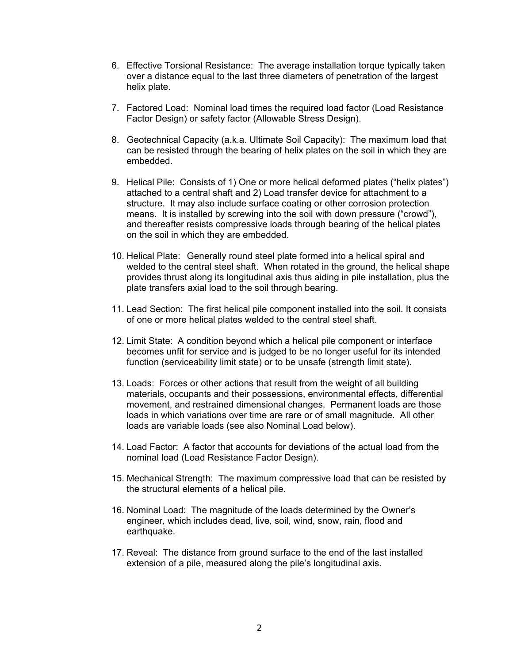- 6. Effective Torsional Resistance: The average installation torque typically taken over a distance equal to the last three diameters of penetration of the largest helix plate.
- 7. Factored Load: Nominal load times the required load factor (Load Resistance Factor Design) or safety factor (Allowable Stress Design).
- 8. Geotechnical Capacity (a.k.a. Ultimate Soil Capacity): The maximum load that can be resisted through the bearing of helix plates on the soil in which they are embedded.
- 9. Helical Pile: Consists of 1) One or more helical deformed plates ("helix plates") attached to a central shaft and 2) Load transfer device for attachment to a structure. It may also include surface coating or other corrosion protection means. It is installed by screwing into the soil with down pressure ("crowd"), and thereafter resists compressive loads through bearing of the helical plates on the soil in which they are embedded.
- 10. Helical Plate: Generally round steel plate formed into a helical spiral and welded to the central steel shaft. When rotated in the ground, the helical shape provides thrust along its longitudinal axis thus aiding in pile installation, plus the plate transfers axial load to the soil through bearing.
- 11. Lead Section: The first helical pile component installed into the soil. It consists of one or more helical plates welded to the central steel shaft.
- 12. Limit State: A condition beyond which a helical pile component or interface becomes unfit for service and is judged to be no longer useful for its intended function (serviceability limit state) or to be unsafe (strength limit state).
- 13. Loads: Forces or other actions that result from the weight of all building materials, occupants and their possessions, environmental effects, differential movement, and restrained dimensional changes. Permanent loads are those loads in which variations over time are rare or of small magnitude. All other loads are variable loads (see also Nominal Load below).
- 14. Load Factor: A factor that accounts for deviations of the actual load from the nominal load (Load Resistance Factor Design).
- 15. Mechanical Strength: The maximum compressive load that can be resisted by the structural elements of a helical pile.
- 16. Nominal Load: The magnitude of the loads determined by the Owner's engineer, which includes dead, live, soil, wind, snow, rain, flood and earthquake.
- 17. Reveal: The distance from ground surface to the end of the last installed extension of a pile, measured along the pile's longitudinal axis.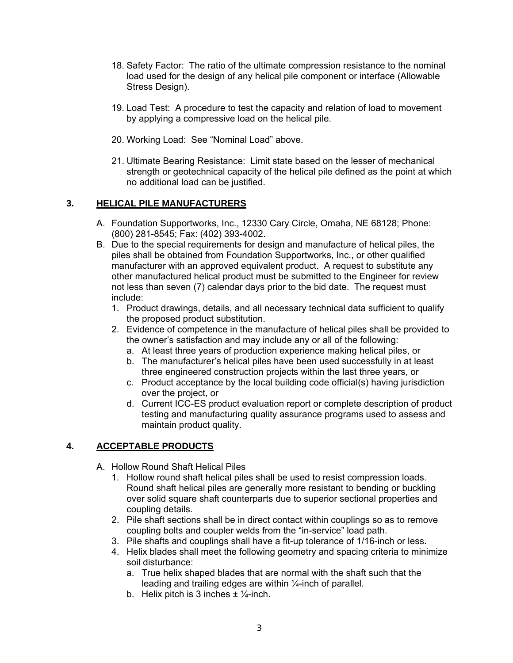- 18. Safety Factor: The ratio of the ultimate compression resistance to the nominal load used for the design of any helical pile component or interface (Allowable Stress Design).
- 19. Load Test: A procedure to test the capacity and relation of load to movement by applying a compressive load on the helical pile.
- 20. Working Load: See "Nominal Load" above.
- 21. Ultimate Bearing Resistance: Limit state based on the lesser of mechanical strength or geotechnical capacity of the helical pile defined as the point at which no additional load can be justified.

## **3. HELICAL PILE MANUFACTURERS**

- A. Foundation Supportworks, Inc., 12330 Cary Circle, Omaha, NE 68128; Phone: (800) 281-8545; Fax: (402) 393-4002.
- B. Due to the special requirements for design and manufacture of helical piles, the piles shall be obtained from Foundation Supportworks, Inc., or other qualified manufacturer with an approved equivalent product. A request to substitute any other manufactured helical product must be submitted to the Engineer for review not less than seven (7) calendar days prior to the bid date. The request must include:
	- 1. Product drawings, details, and all necessary technical data sufficient to qualify the proposed product substitution.
	- 2. Evidence of competence in the manufacture of helical piles shall be provided to the owner's satisfaction and may include any or all of the following:
		- a. At least three years of production experience making helical piles, or
		- b. The manufacturer's helical piles have been used successfully in at least three engineered construction projects within the last three years, or
		- c. Product acceptance by the local building code official(s) having jurisdiction over the project, or
		- d. Current ICC-ES product evaluation report or complete description of product testing and manufacturing quality assurance programs used to assess and maintain product quality.

## **4. ACCEPTABLE PRODUCTS**

- A. Hollow Round Shaft Helical Piles
	- 1. Hollow round shaft helical piles shall be used to resist compression loads. Round shaft helical piles are generally more resistant to bending or buckling over solid square shaft counterparts due to superior sectional properties and coupling details.
	- 2. Pile shaft sections shall be in direct contact within couplings so as to remove coupling bolts and coupler welds from the "in-service" load path.
	- 3. Pile shafts and couplings shall have a fit-up tolerance of 1/16-inch or less.
	- 4. Helix blades shall meet the following geometry and spacing criteria to minimize soil disturbance:
		- a. True helix shaped blades that are normal with the shaft such that the leading and trailing edges are within ¼-inch of parallel.
		- b. Helix pitch is 3 inches  $\pm \frac{1}{4}$ -inch.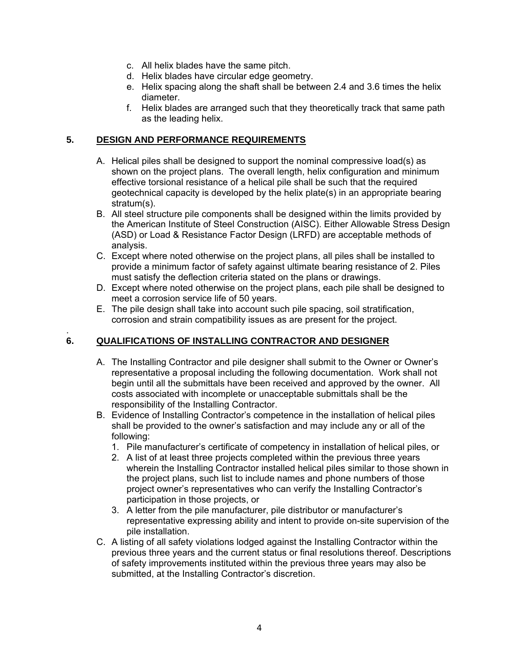- c. All helix blades have the same pitch.
- d. Helix blades have circular edge geometry.
- e. Helix spacing along the shaft shall be between 2.4 and 3.6 times the helix diameter.
- f. Helix blades are arranged such that they theoretically track that same path as the leading helix.

#### **5. DESIGN AND PERFORMANCE REQUIREMENTS**

- A. Helical piles shall be designed to support the nominal compressive load(s) as shown on the project plans. The overall length, helix configuration and minimum effective torsional resistance of a helical pile shall be such that the required geotechnical capacity is developed by the helix plate(s) in an appropriate bearing stratum(s).
- B. All steel structure pile components shall be designed within the limits provided by the American Institute of Steel Construction (AISC). Either Allowable Stress Design (ASD) or Load & Resistance Factor Design (LRFD) are acceptable methods of analysis.
- C. Except where noted otherwise on the project plans, all piles shall be installed to provide a minimum factor of safety against ultimate bearing resistance of 2. Piles must satisfy the deflection criteria stated on the plans or drawings.
- D. Except where noted otherwise on the project plans, each pile shall be designed to meet a corrosion service life of 50 years.
- E. The pile design shall take into account such pile spacing, soil stratification, corrosion and strain compatibility issues as are present for the project.

#### . **6. QUALIFICATIONS OF INSTALLING CONTRACTOR AND DESIGNER**

- A. The Installing Contractor and pile designer shall submit to the Owner or Owner's representative a proposal including the following documentation. Work shall not begin until all the submittals have been received and approved by the owner. All costs associated with incomplete or unacceptable submittals shall be the responsibility of the Installing Contractor.
- B. Evidence of Installing Contractor's competence in the installation of helical piles shall be provided to the owner's satisfaction and may include any or all of the following:
	- 1. Pile manufacturer's certificate of competency in installation of helical piles, or
	- 2. A list of at least three projects completed within the previous three years wherein the Installing Contractor installed helical piles similar to those shown in the project plans, such list to include names and phone numbers of those project owner's representatives who can verify the Installing Contractor's participation in those projects, or
	- 3. A letter from the pile manufacturer, pile distributor or manufacturer's representative expressing ability and intent to provide on-site supervision of the pile installation.
- C. A listing of all safety violations lodged against the Installing Contractor within the previous three years and the current status or final resolutions thereof. Descriptions of safety improvements instituted within the previous three years may also be submitted, at the Installing Contractor's discretion.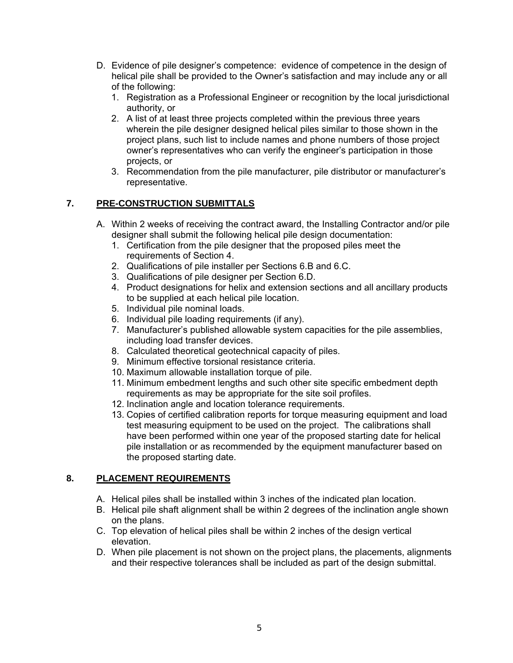- D. Evidence of pile designer's competence: evidence of competence in the design of helical pile shall be provided to the Owner's satisfaction and may include any or all of the following:
	- 1. Registration as a Professional Engineer or recognition by the local jurisdictional authority, or
	- 2. A list of at least three projects completed within the previous three years wherein the pile designer designed helical piles similar to those shown in the project plans, such list to include names and phone numbers of those project owner's representatives who can verify the engineer's participation in those projects, or
	- 3. Recommendation from the pile manufacturer, pile distributor or manufacturer's representative.

## **7. PRE-CONSTRUCTION SUBMITTALS**

- A. Within 2 weeks of receiving the contract award, the Installing Contractor and/or pile designer shall submit the following helical pile design documentation:
	- 1. Certification from the pile designer that the proposed piles meet the requirements of Section 4.
	- 2. Qualifications of pile installer per Sections 6.B and 6.C.
	- 3. Qualifications of pile designer per Section 6.D.
	- 4. Product designations for helix and extension sections and all ancillary products to be supplied at each helical pile location.
	- 5. Individual pile nominal loads.
	- 6. Individual pile loading requirements (if any).
	- 7. Manufacturer's published allowable system capacities for the pile assemblies, including load transfer devices.
	- 8. Calculated theoretical geotechnical capacity of piles.
	- 9. Minimum effective torsional resistance criteria.
	- 10. Maximum allowable installation torque of pile.
	- 11. Minimum embedment lengths and such other site specific embedment depth requirements as may be appropriate for the site soil profiles.
	- 12. Inclination angle and location tolerance requirements.
	- 13. Copies of certified calibration reports for torque measuring equipment and load test measuring equipment to be used on the project. The calibrations shall have been performed within one year of the proposed starting date for helical pile installation or as recommended by the equipment manufacturer based on the proposed starting date.

## **8. PLACEMENT REQUIREMENTS**

- A. Helical piles shall be installed within 3 inches of the indicated plan location.
- B. Helical pile shaft alignment shall be within 2 degrees of the inclination angle shown on the plans.
- C. Top elevation of helical piles shall be within 2 inches of the design vertical elevation.
- D. When pile placement is not shown on the project plans, the placements, alignments and their respective tolerances shall be included as part of the design submittal.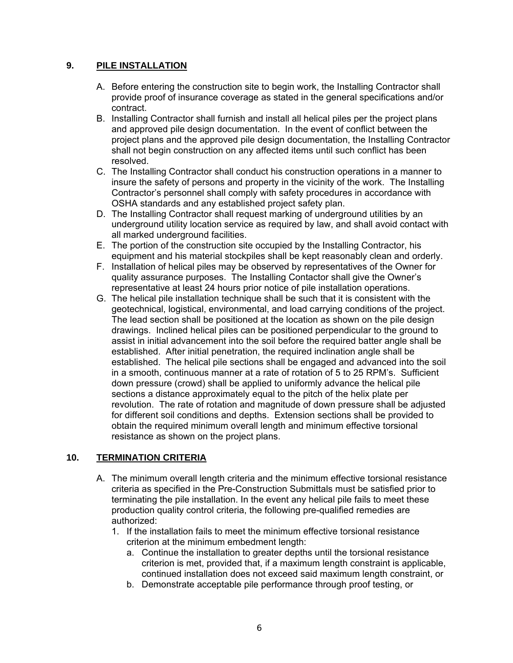#### **9. PILE INSTALLATION**

- A. Before entering the construction site to begin work, the Installing Contractor shall provide proof of insurance coverage as stated in the general specifications and/or contract.
- B. Installing Contractor shall furnish and install all helical piles per the project plans and approved pile design documentation. In the event of conflict between the project plans and the approved pile design documentation, the Installing Contractor shall not begin construction on any affected items until such conflict has been resolved.
- C. The Installing Contractor shall conduct his construction operations in a manner to insure the safety of persons and property in the vicinity of the work. The Installing Contractor's personnel shall comply with safety procedures in accordance with OSHA standards and any established project safety plan.
- D. The Installing Contractor shall request marking of underground utilities by an underground utility location service as required by law, and shall avoid contact with all marked underground facilities.
- E. The portion of the construction site occupied by the Installing Contractor, his equipment and his material stockpiles shall be kept reasonably clean and orderly.
- F. Installation of helical piles may be observed by representatives of the Owner for quality assurance purposes. The Installing Contactor shall give the Owner's representative at least 24 hours prior notice of pile installation operations.
- G. The helical pile installation technique shall be such that it is consistent with the geotechnical, logistical, environmental, and load carrying conditions of the project. The lead section shall be positioned at the location as shown on the pile design drawings. Inclined helical piles can be positioned perpendicular to the ground to assist in initial advancement into the soil before the required batter angle shall be established. After initial penetration, the required inclination angle shall be established. The helical pile sections shall be engaged and advanced into the soil in a smooth, continuous manner at a rate of rotation of 5 to 25 RPM's. Sufficient down pressure (crowd) shall be applied to uniformly advance the helical pile sections a distance approximately equal to the pitch of the helix plate per revolution. The rate of rotation and magnitude of down pressure shall be adjusted for different soil conditions and depths. Extension sections shall be provided to obtain the required minimum overall length and minimum effective torsional resistance as shown on the project plans.

## **10. TERMINATION CRITERIA**

- A. The minimum overall length criteria and the minimum effective torsional resistance criteria as specified in the Pre-Construction Submittals must be satisfied prior to terminating the pile installation. In the event any helical pile fails to meet these production quality control criteria, the following pre-qualified remedies are authorized:
	- 1. If the installation fails to meet the minimum effective torsional resistance criterion at the minimum embedment length:
		- a. Continue the installation to greater depths until the torsional resistance criterion is met, provided that, if a maximum length constraint is applicable, continued installation does not exceed said maximum length constraint, or
		- b. Demonstrate acceptable pile performance through proof testing, or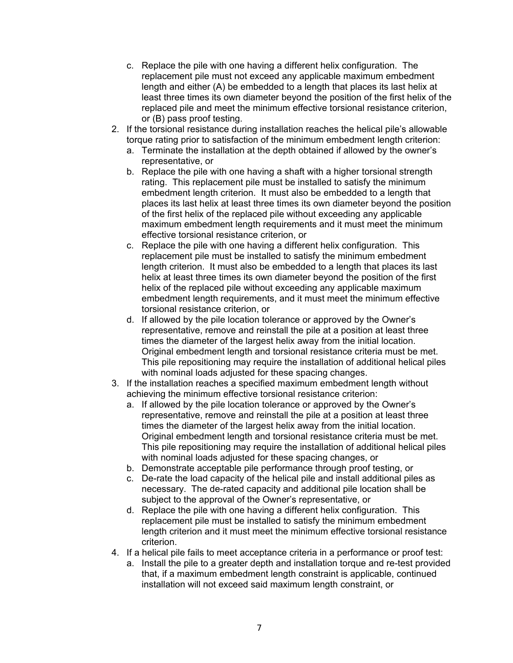- c. Replace the pile with one having a different helix configuration. The replacement pile must not exceed any applicable maximum embedment length and either (A) be embedded to a length that places its last helix at least three times its own diameter beyond the position of the first helix of the replaced pile and meet the minimum effective torsional resistance criterion, or (B) pass proof testing.
- 2. If the torsional resistance during installation reaches the helical pile's allowable torque rating prior to satisfaction of the minimum embedment length criterion:
	- a. Terminate the installation at the depth obtained if allowed by the owner's representative, or
	- b. Replace the pile with one having a shaft with a higher torsional strength rating. This replacement pile must be installed to satisfy the minimum embedment length criterion. It must also be embedded to a length that places its last helix at least three times its own diameter beyond the position of the first helix of the replaced pile without exceeding any applicable maximum embedment length requirements and it must meet the minimum effective torsional resistance criterion, or
	- c. Replace the pile with one having a different helix configuration. This replacement pile must be installed to satisfy the minimum embedment length criterion. It must also be embedded to a length that places its last helix at least three times its own diameter beyond the position of the first helix of the replaced pile without exceeding any applicable maximum embedment length requirements, and it must meet the minimum effective torsional resistance criterion, or
	- d. If allowed by the pile location tolerance or approved by the Owner's representative, remove and reinstall the pile at a position at least three times the diameter of the largest helix away from the initial location. Original embedment length and torsional resistance criteria must be met. This pile repositioning may require the installation of additional helical piles with nominal loads adjusted for these spacing changes.
- 3. If the installation reaches a specified maximum embedment length without achieving the minimum effective torsional resistance criterion:
	- a. If allowed by the pile location tolerance or approved by the Owner's representative, remove and reinstall the pile at a position at least three times the diameter of the largest helix away from the initial location. Original embedment length and torsional resistance criteria must be met. This pile repositioning may require the installation of additional helical piles with nominal loads adjusted for these spacing changes, or
	- b. Demonstrate acceptable pile performance through proof testing, or
	- c. De-rate the load capacity of the helical pile and install additional piles as necessary. The de-rated capacity and additional pile location shall be subject to the approval of the Owner's representative, or
	- d. Replace the pile with one having a different helix configuration. This replacement pile must be installed to satisfy the minimum embedment length criterion and it must meet the minimum effective torsional resistance criterion.
- 4. If a helical pile fails to meet acceptance criteria in a performance or proof test:
	- a. Install the pile to a greater depth and installation torque and re-test provided that, if a maximum embedment length constraint is applicable, continued installation will not exceed said maximum length constraint, or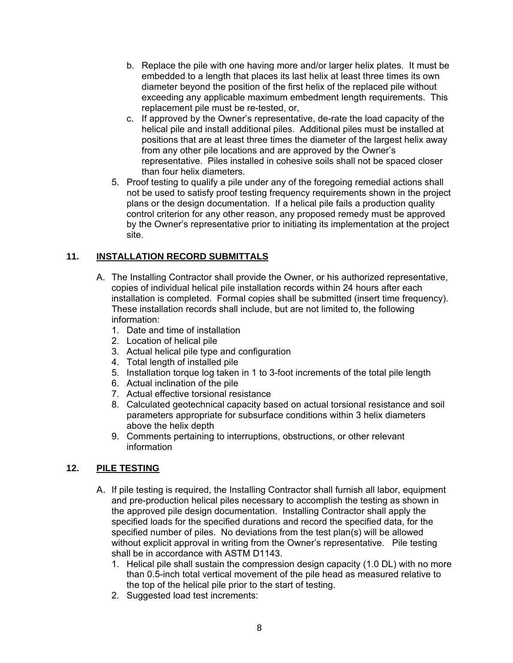- b. Replace the pile with one having more and/or larger helix plates. It must be embedded to a length that places its last helix at least three times its own diameter beyond the position of the first helix of the replaced pile without exceeding any applicable maximum embedment length requirements. This replacement pile must be re-tested, or,
- c. If approved by the Owner's representative, de-rate the load capacity of the helical pile and install additional piles. Additional piles must be installed at positions that are at least three times the diameter of the largest helix away from any other pile locations and are approved by the Owner's representative. Piles installed in cohesive soils shall not be spaced closer than four helix diameters.
- 5. Proof testing to qualify a pile under any of the foregoing remedial actions shall not be used to satisfy proof testing frequency requirements shown in the project plans or the design documentation. If a helical pile fails a production quality control criterion for any other reason, any proposed remedy must be approved by the Owner's representative prior to initiating its implementation at the project site.

# **11. INSTALLATION RECORD SUBMITTALS**

- A. The Installing Contractor shall provide the Owner, or his authorized representative, copies of individual helical pile installation records within 24 hours after each installation is completed. Formal copies shall be submitted (insert time frequency). These installation records shall include, but are not limited to, the following information:
	- 1. Date and time of installation
	- 2. Location of helical pile
	- 3. Actual helical pile type and configuration
	- 4. Total length of installed pile
	- 5. Installation torque log taken in 1 to 3-foot increments of the total pile length
	- 6. Actual inclination of the pile
	- 7. Actual effective torsional resistance
	- 8. Calculated geotechnical capacity based on actual torsional resistance and soil parameters appropriate for subsurface conditions within 3 helix diameters above the helix depth
	- 9. Comments pertaining to interruptions, obstructions, or other relevant information

## **12. PILE TESTING**

- A. If pile testing is required, the Installing Contractor shall furnish all labor, equipment and pre-production helical piles necessary to accomplish the testing as shown in the approved pile design documentation. Installing Contractor shall apply the specified loads for the specified durations and record the specified data, for the specified number of piles. No deviations from the test plan(s) will be allowed without explicit approval in writing from the Owner's representative. Pile testing shall be in accordance with ASTM D1143.
	- 1. Helical pile shall sustain the compression design capacity (1.0 DL) with no more than 0.5-inch total vertical movement of the pile head as measured relative to the top of the helical pile prior to the start of testing.
	- 2. Suggested load test increments: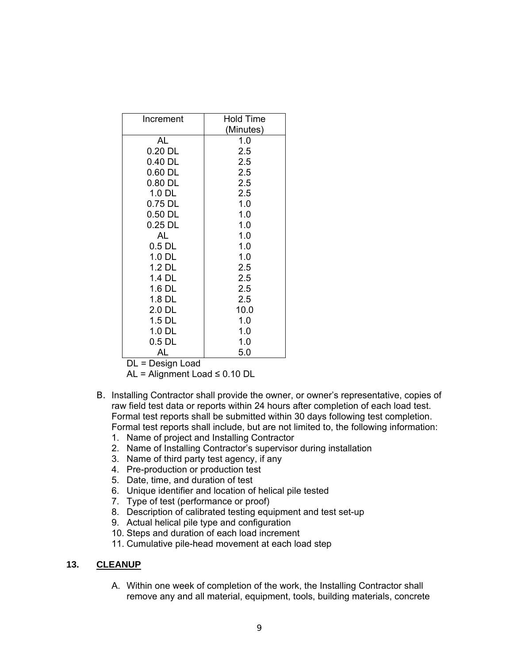| Increment | <b>Hold Time</b> |
|-----------|------------------|
|           | (Minutes)        |
| AL        | 1.0              |
| $0.20$ DL | 2.5              |
| 0.40 DL   | 2.5              |
| 0.60 DL   | 2.5              |
| $0.80$ DL | 2.5              |
| $1.0$ DL  | 2.5              |
| 0.75 DL   | 1.0              |
| $0.50$ DL | 1.0              |
| $0.25$ DL | 1.0              |
| AL        | 1.0              |
| $0.5$ DL  | 1.0              |
| $1.0$ DL  | 1.0              |
| 1.2 DL    | 2.5              |
| 1.4 DL    | 2.5              |
| $1.6$ DL  | 2.5              |
| 1.8 DL    | 2.5              |
| 2.0 DL    | 10.0             |
| $1.5$ DL  | 1.0              |
| $1.0$ DL  | 1.0              |
| 0.5 DL    | 1.0              |
| AL        | 5.0              |

DL = Design Load

AL = Alignment Load ≤ 0.10 DL

- B. Installing Contractor shall provide the owner, or owner's representative, copies of raw field test data or reports within 24 hours after completion of each load test. Formal test reports shall be submitted within 30 days following test completion. Formal test reports shall include, but are not limited to, the following information:
	- 1. Name of project and Installing Contractor
	- 2. Name of Installing Contractor's supervisor during installation
	- 3. Name of third party test agency, if any
	- 4. Pre-production or production test
	- 5. Date, time, and duration of test
	- 6. Unique identifier and location of helical pile tested
	- 7. Type of test (performance or proof)
	- 8. Description of calibrated testing equipment and test set-up
	- 9. Actual helical pile type and configuration
	- 10. Steps and duration of each load increment
	- 11. Cumulative pile-head movement at each load step

#### **13. CLEANUP**

A. Within one week of completion of the work, the Installing Contractor shall remove any and all material, equipment, tools, building materials, concrete